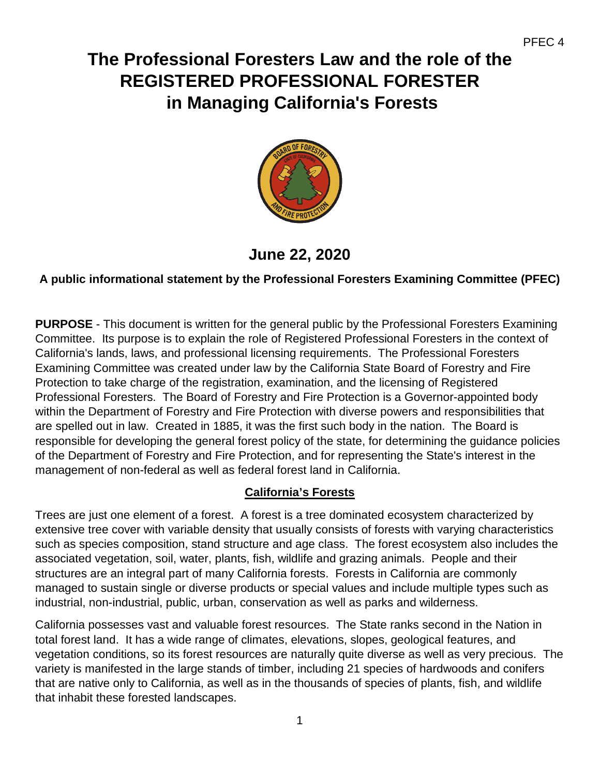# **The Professional Foresters Law and the role of the REGISTERED PROFESSIONAL FORESTER in Managing California's Forests**



**June 22, 2020**

## **A public informational statement by the Professional Foresters Examining Committee (PFEC)**

**PURPOSE** - This document is written for the general public by the Professional Foresters Examining Committee. Its purpose is to explain the role of Registered Professional Foresters in the context of California's lands, laws, and professional licensing requirements. The Professional Foresters Examining Committee was created under law by the California State Board of Forestry and Fire Protection to take charge of the registration, examination, and the licensing of Registered Professional Foresters. The Board of Forestry and Fire Protection is a Governor-appointed body within the Department of Forestry and Fire Protection with diverse powers and responsibilities that are spelled out in law. Created in 1885, it was the first such body in the nation. The Board is responsible for developing the general forest policy of the state, for determining the guidance policies of the Department of Forestry and Fire Protection, and for representing the State's interest in the management of non-federal as well as federal forest land in California.

## **California's Forests**

Trees are just one element of a forest. A forest is a tree dominated ecosystem characterized by extensive tree cover with variable density that usually consists of forests with varying characteristics such as species composition, stand structure and age class. The forest ecosystem also includes the associated vegetation, soil, water, plants, fish, wildlife and grazing animals. People and their structures are an integral part of many California forests. Forests in California are commonly managed to sustain single or diverse products or special values and include multiple types such as industrial, non-industrial, public, urban, conservation as well as parks and wilderness.

California possesses vast and valuable forest resources. The State ranks second in the Nation in total forest land. It has a wide range of climates, elevations, slopes, geological features, and vegetation conditions, so its forest resources are naturally quite diverse as well as very precious. The variety is manifested in the large stands of timber, including 21 species of hardwoods and conifers that are native only to California, as well as in the thousands of species of plants, fish, and wildlife that inhabit these forested landscapes.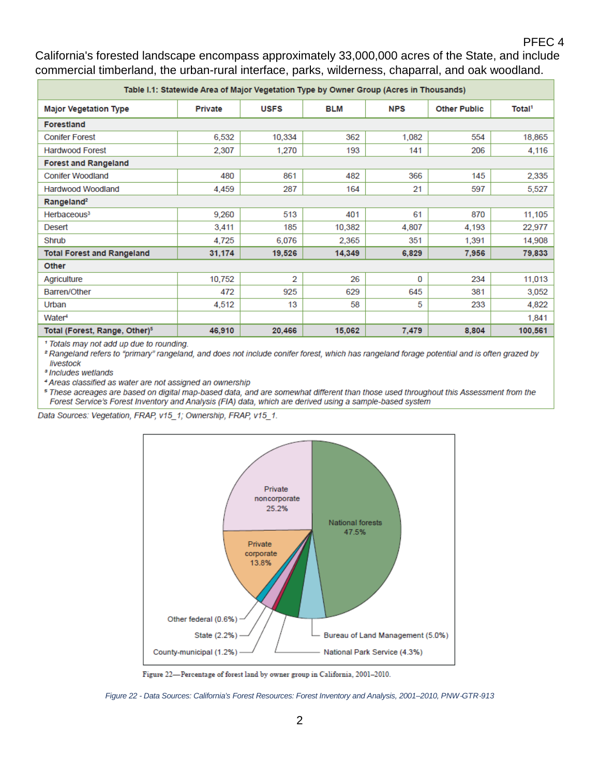#### PFEC 4

California's forested landscape encompass approximately 33,000,000 acres of the State, and include commercial timberland, the urban-rural interface, parks, wilderness, chaparral, and oak woodland.

| Table I.1: Statewide Area of Major Vegetation Type by Owner Group (Acres in Thousands) |                |             |        |            |                     |                    |
|----------------------------------------------------------------------------------------|----------------|-------------|--------|------------|---------------------|--------------------|
| <b>Major Vegetation Type</b>                                                           | <b>Private</b> | <b>USFS</b> | BLM    | <b>NPS</b> | <b>Other Public</b> | Total <sup>1</sup> |
| <b>Forestland</b>                                                                      |                |             |        |            |                     |                    |
| <b>Conifer Forest</b>                                                                  | 6,532          | 10,334      | 362    | 1,082      | 554                 | 18,865             |
| <b>Hardwood Forest</b>                                                                 | 2,307          | 1.270       | 193    | 141        | 206                 | 4,116              |
| <b>Forest and Rangeland</b>                                                            |                |             |        |            |                     |                    |
| <b>Conifer Woodland</b>                                                                | 480            | 861         | 482    | 366        | 145                 | 2,335              |
| Hardwood Woodland                                                                      | 4,459          | 287         | 164    | 21         | 597                 | 5,527              |
| Rangeland <sup>2</sup>                                                                 |                |             |        |            |                     |                    |
| Herbaceous <sup>3</sup>                                                                | 9,260          | 513         | 401    | 61         | 870                 | 11,105             |
| Desert                                                                                 | 3,411          | 185         | 10,382 | 4,807      | 4,193               | 22,977             |
| Shrub                                                                                  | 4,725          | 6,076       | 2.365  | 351        | 1.391               | 14,908             |
| <b>Total Forest and Rangeland</b>                                                      | 31,174         | 19,526      | 14,349 | 6,829      | 7,956               | 79,833             |
| Other                                                                                  |                |             |        |            |                     |                    |
| Agriculture                                                                            | 10,752         | 2           | 26     | 0          | 234                 | 11,013             |
| Barren/Other                                                                           | 472            | 925         | 629    | 645        | 381                 | 3,052              |
| Urban                                                                                  | 4,512          | 13          | 58     | 5          | 233                 | 4,822              |
| Water <sup>4</sup>                                                                     |                |             |        |            |                     | 1,841              |
| Total (Forest, Range, Other) <sup>5</sup>                                              | 46,910         | 20,466      | 15,062 | 7,479      | 8,804               | 100,561            |

<sup>1</sup> Totals may not add up due to rounding.

<sup>2</sup> Rangeland refers to "primary" rangeland, and does not include conifer forest, which has rangeland forage potential and is often grazed by livestock

<sup>3</sup> Includes wetlands

Г

4 Areas classified as water are not assigned an ownership

<sup>5</sup> These acreages are based on digital map-based data, and are somewhat different than those used throughout this Assessment from the Forest Service's Forest Inventory and Analysis (FIA) data, which are derived using a sample-based system

Data Sources: Vegetation, FRAP, v15\_1; Ownership, FRAP, v15\_1.



Figure 22-Percentage of forest land by owner group in California, 2001-2010.

*Figure 22 - Data Sources: California's Forest Resources: Forest Inventory and Analysis, 2001–2010, PNW*‐*GTR*‐*913*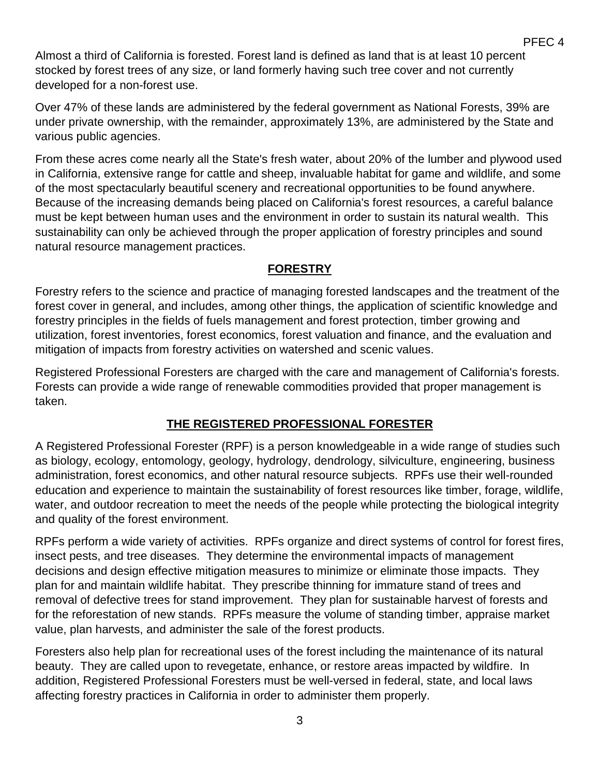Almost a third of California is forested. Forest land is defined as land that is at least 10 percent stocked by forest trees of any size, or land formerly having such tree cover and not currently developed for a non-forest use.

Over 47% of these lands are administered by the federal government as National Forests, 39% are under private ownership, with the remainder, approximately 13%, are administered by the State and various public agencies.

PFEC 4

From these acres come nearly all the State's fresh water, about 20% of the lumber and plywood used in California, extensive range for cattle and sheep, invaluable habitat for game and wildlife, and some of the most spectacularly beautiful scenery and recreational opportunities to be found anywhere. Because of the increasing demands being placed on California's forest resources, a careful balance must be kept between human uses and the environment in order to sustain its natural wealth. This sustainability can only be achieved through the proper application of forestry principles and sound natural resource management practices.

### **FORESTRY**

Forestry refers to the science and practice of managing forested landscapes and the treatment of the forest cover in general, and includes, among other things, the application of scientific knowledge and forestry principles in the fields of fuels management and forest protection, timber growing and utilization, forest inventories, forest economics, forest valuation and finance, and the evaluation and mitigation of impacts from forestry activities on watershed and scenic values.

Registered Professional Foresters are charged with the care and management of California's forests. Forests can provide a wide range of renewable commodities provided that proper management is taken.

## **THE REGISTERED PROFESSIONAL FORESTER**

A Registered Professional Forester (RPF) is a person knowledgeable in a wide range of studies such as biology, ecology, entomology, geology, hydrology, dendrology, silviculture, engineering, business administration, forest economics, and other natural resource subjects. RPFs use their well-rounded education and experience to maintain the sustainability of forest resources like timber, forage, wildlife, water, and outdoor recreation to meet the needs of the people while protecting the biological integrity and quality of the forest environment.

RPFs perform a wide variety of activities. RPFs organize and direct systems of control for forest fires, insect pests, and tree diseases. They determine the environmental impacts of management decisions and design effective mitigation measures to minimize or eliminate those impacts. They plan for and maintain wildlife habitat. They prescribe thinning for immature stand of trees and removal of defective trees for stand improvement. They plan for sustainable harvest of forests and for the reforestation of new stands. RPFs measure the volume of standing timber, appraise market value, plan harvests, and administer the sale of the forest products.

Foresters also help plan for recreational uses of the forest including the maintenance of its natural beauty. They are called upon to revegetate, enhance, or restore areas impacted by wildfire. In addition, Registered Professional Foresters must be well-versed in federal, state, and local laws affecting forestry practices in California in order to administer them properly.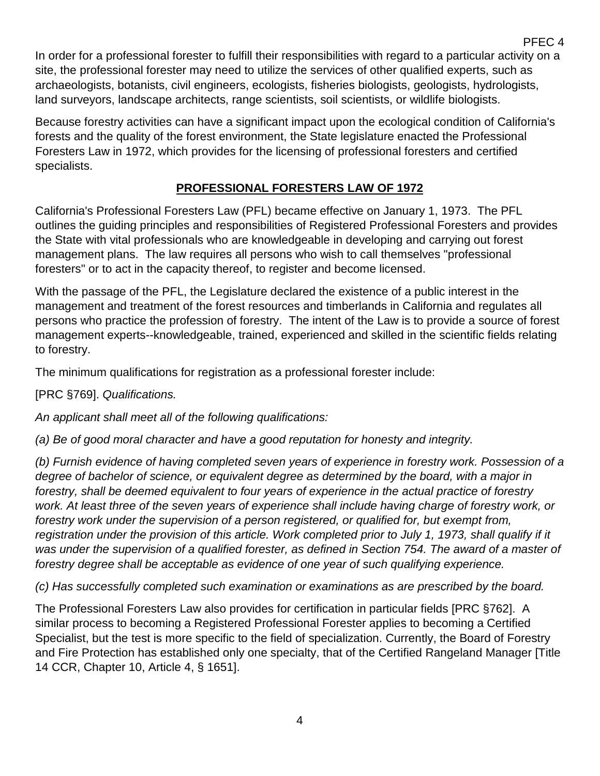In order for a professional forester to fulfill their responsibilities with regard to a particular activity on a site, the professional forester may need to utilize the services of other qualified experts, such as archaeologists, botanists, civil engineers, ecologists, fisheries biologists, geologists, hydrologists, land surveyors, landscape architects, range scientists, soil scientists, or wildlife biologists.

PFEC 4

Because forestry activities can have a significant impact upon the ecological condition of California's forests and the quality of the forest environment, the State legislature enacted the Professional Foresters Law in 1972, which provides for the licensing of professional foresters and certified specialists.

## **PROFESSIONAL FORESTERS LAW OF 1972**

California's Professional Foresters Law (PFL) became effective on January 1, 1973. The PFL outlines the guiding principles and responsibilities of Registered Professional Foresters and provides the State with vital professionals who are knowledgeable in developing and carrying out forest management plans. The law requires all persons who wish to call themselves "professional foresters" or to act in the capacity thereof, to register and become licensed.

With the passage of the PFL, the Legislature declared the existence of a public interest in the management and treatment of the forest resources and timberlands in California and regulates all persons who practice the profession of forestry. The intent of the Law is to provide a source of forest management experts--knowledgeable, trained, experienced and skilled in the scientific fields relating to forestry.

The minimum qualifications for registration as a professional forester include:

[PRC §769]. *Qualifications.*

*An applicant shall meet all of the following qualifications:* 

*(a) Be of good moral character and have a good reputation for honesty and integrity.* 

*(b) Furnish evidence of having completed seven years of experience in forestry work. Possession of a degree of bachelor of science, or equivalent degree as determined by the board, with a major in forestry, shall be deemed equivalent to four years of experience in the actual practice of forestry work. At least three of the seven years of experience shall include having charge of forestry work, or*  forestry work under the supervision of a person registered, or qualified for, but exempt from, registration under the provision of this article. Work completed prior to July 1, 1973, shall qualify if it was under the supervision of a qualified forester, as defined in Section 754. The award of a master of *forestry degree shall be acceptable as evidence of one year of such qualifying experience.* 

*(c) Has successfully completed such examination or examinations as are prescribed by the board.* 

The Professional Foresters Law also provides for certification in particular fields [PRC §762]. A similar process to becoming a Registered Professional Forester applies to becoming a Certified Specialist, but the test is more specific to the field of specialization. Currently, the Board of Forestry and Fire Protection has established only one specialty, that of the Certified Rangeland Manager [Title 14 CCR, Chapter 10, Article 4, § 1651].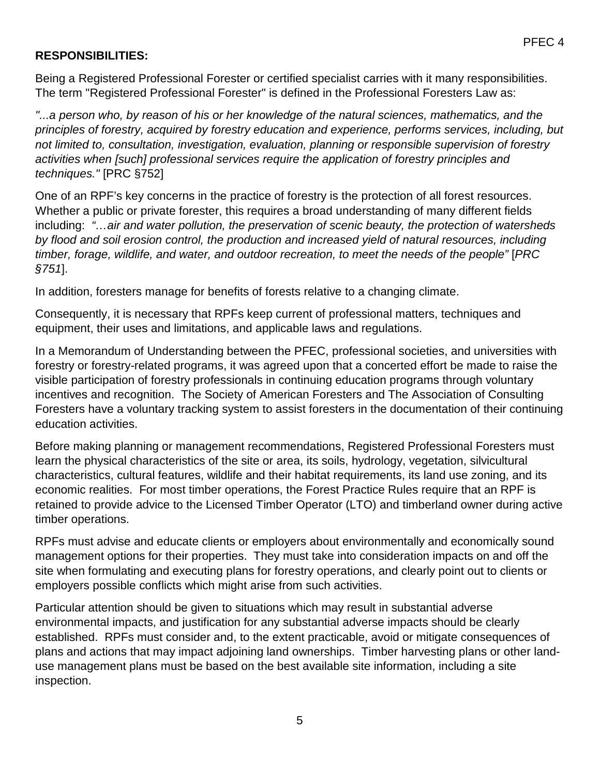#### **RESPONSIBILITIES:**

Being a Registered Professional Forester or certified specialist carries with it many responsibilities. The term "Registered Professional Forester" is defined in the Professional Foresters Law as:

*"...a person who, by reason of his or her knowledge of the natural sciences, mathematics, and the principles of forestry, acquired by forestry education and experience, performs services, including, but not limited to, consultation, investigation, evaluation, planning or responsible supervision of forestry activities when [such] professional services require the application of forestry principles and techniques."* [PRC §752]

One of an RPF's key concerns in the practice of forestry is the protection of all forest resources. Whether a public or private forester, this requires a broad understanding of many different fields including: *"…air and water pollution, the preservation of scenic beauty, the protection of watersheds by flood and soil erosion control, the production and increased yield of natural resources, including timber, forage, wildlife, and water, and outdoor recreation, to meet the needs of the people"* [*PRC §751*].

In addition, foresters manage for benefits of forests relative to a changing climate.

Consequently, it is necessary that RPFs keep current of professional matters, techniques and equipment, their uses and limitations, and applicable laws and regulations.

In a Memorandum of Understanding between the PFEC, professional societies, and universities with forestry or forestry-related programs, it was agreed upon that a concerted effort be made to raise the visible participation of forestry professionals in continuing education programs through voluntary incentives and recognition. The Society of American Foresters and The Association of Consulting Foresters have a voluntary tracking system to assist foresters in the documentation of their continuing education activities.

Before making planning or management recommendations, Registered Professional Foresters must learn the physical characteristics of the site or area, its soils, hydrology, vegetation, silvicultural characteristics, cultural features, wildlife and their habitat requirements, its land use zoning, and its economic realities. For most timber operations, the Forest Practice Rules require that an RPF is retained to provide advice to the Licensed Timber Operator (LTO) and timberland owner during active timber operations.

RPFs must advise and educate clients or employers about environmentally and economically sound management options for their properties. They must take into consideration impacts on and off the site when formulating and executing plans for forestry operations, and clearly point out to clients or employers possible conflicts which might arise from such activities.

Particular attention should be given to situations which may result in substantial adverse environmental impacts, and justification for any substantial adverse impacts should be clearly established. RPFs must consider and, to the extent practicable, avoid or mitigate consequences of plans and actions that may impact adjoining land ownerships. Timber harvesting plans or other landuse management plans must be based on the best available site information, including a site inspection.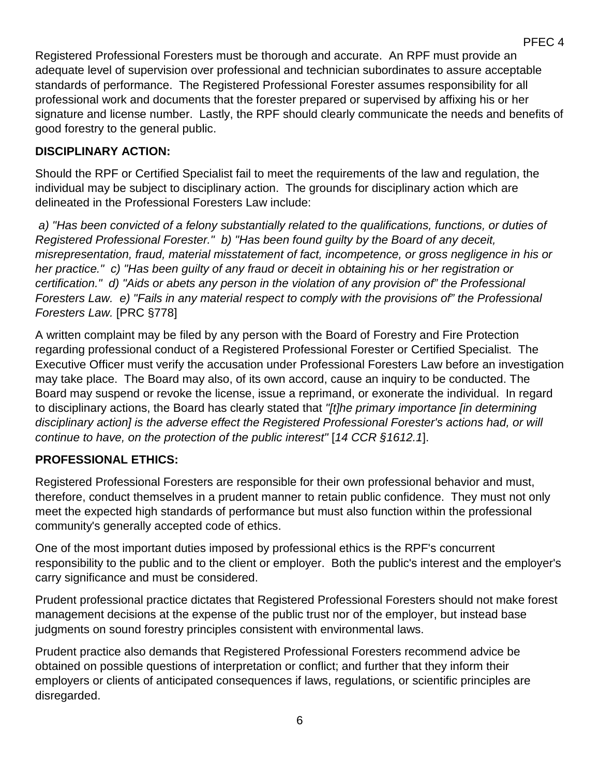PFEC 4

Registered Professional Foresters must be thorough and accurate. An RPF must provide an adequate level of supervision over professional and technician subordinates to assure acceptable standards of performance. The Registered Professional Forester assumes responsibility for all professional work and documents that the forester prepared or supervised by affixing his or her signature and license number. Lastly, the RPF should clearly communicate the needs and benefits of good forestry to the general public.

## **DISCIPLINARY ACTION:**

Should the RPF or Certified Specialist fail to meet the requirements of the law and regulation, the individual may be subject to disciplinary action. The grounds for disciplinary action which are delineated in the Professional Foresters Law include:

*a) "Has been convicted of a felony substantially related to the qualifications, functions, or duties of Registered Professional Forester." b) "Has been found guilty by the Board of any deceit, misrepresentation, fraud, material misstatement of fact, incompetence, or gross negligence in his or her practice." c) "Has been guilty of any fraud or deceit in obtaining his or her registration or certification." d) "Aids or abets any person in the violation of any provision of" the Professional Foresters Law. e) "Fails in any material respect to comply with the provisions of" the Professional Foresters Law.* [PRC §778]

A written complaint may be filed by any person with the Board of Forestry and Fire Protection regarding professional conduct of a Registered Professional Forester or Certified Specialist. The Executive Officer must verify the accusation under Professional Foresters Law before an investigation may take place. The Board may also, of its own accord, cause an inquiry to be conducted. The Board may suspend or revoke the license, issue a reprimand, or exonerate the individual. In regard to disciplinary actions, the Board has clearly stated that *"[t]he primary importance [in determining disciplinary action] is the adverse effect the Registered Professional Forester's actions had, or will continue to have, on the protection of the public interest"* [*14 CCR §1612.1*].

#### **PROFESSIONAL ETHICS:**

Registered Professional Foresters are responsible for their own professional behavior and must, therefore, conduct themselves in a prudent manner to retain public confidence. They must not only meet the expected high standards of performance but must also function within the professional community's generally accepted code of ethics.

One of the most important duties imposed by professional ethics is the RPF's concurrent responsibility to the public and to the client or employer. Both the public's interest and the employer's carry significance and must be considered.

Prudent professional practice dictates that Registered Professional Foresters should not make forest management decisions at the expense of the public trust nor of the employer, but instead base judgments on sound forestry principles consistent with environmental laws.

Prudent practice also demands that Registered Professional Foresters recommend advice be obtained on possible questions of interpretation or conflict; and further that they inform their employers or clients of anticipated consequences if laws, regulations, or scientific principles are disregarded.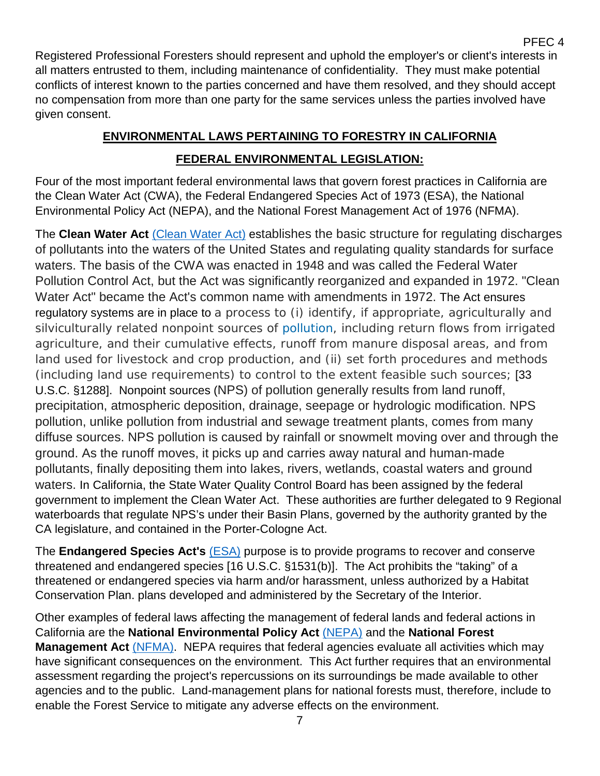Registered Professional Foresters should represent and uphold the employer's or client's interests in all matters entrusted to them, including maintenance of confidentiality. They must make potential conflicts of interest known to the parties concerned and have them resolved, and they should accept no compensation from more than one party for the same services unless the parties involved have given consent.

## **ENVIRONMENTAL LAWS PERTAINING TO FORESTRY IN CALIFORNIA**

## **FEDERAL ENVIRONMENTAL LEGISLATION:**

Four of the most important federal environmental laws that govern forest practices in California are the Clean Water Act (CWA), the Federal Endangered Species Act of 1973 (ESA), the National Environmental Policy Act (NEPA), and the National Forest Management Act of 1976 (NFMA).

The **Clean Water Act** [\(Clean Water Act\)](https://www.epa.gov/laws-regulations/summary-clean-water-act) establishes the basic structure for regulating discharges of pollutants into the waters of the United States and regulating quality standards for surface waters. The basis of the CWA was enacted in 1948 and was called the Federal Water Pollution Control Act, but the Act was significantly reorganized and expanded in 1972. "Clean Water Act" became the Act's common name with amendments in 1972. The Act ensures regulatory systems are in place to a process to (i) identify, if appropriate, agriculturally and silviculturally related nonpoint sources of [pollution,](https://www.law.cornell.edu/uscode/text/33/1288) including return flows from irrigated agriculture, and their cumulative effects, runoff from manure disposal areas, and from land used for livestock and crop production, and (ii) set forth procedures and methods (including land use requirements) to control to the extent feasible such sources; [33 U.S.C. §1288]. Nonpoint sources (NPS) of pollution generally results from land runoff, precipitation, atmospheric deposition, drainage, seepage or hydrologic modification. NPS pollution, unlike pollution from industrial and sewage treatment plants, comes from many diffuse sources. NPS pollution is caused by rainfall or snowmelt moving over and through the ground. As the runoff moves, it picks up and carries away natural and human-made pollutants, finally depositing them into lakes, rivers, wetlands, coastal waters and ground waters. In California, the State Water Quality Control Board has been assigned by the federal government to implement the Clean Water Act. These authorities are further delegated to 9 Regional waterboards that regulate NPS's under their Basin Plans, governed by the authority granted by the CA legislature, and contained in the Porter-Cologne Act.

The **Endangered Species Act's** [\(ESA\)](https://www.fws.gov/endangered/laws-policies/esa.html) purpose is to provide programs to recover and conserve threatened and endangered species [16 U.S.C. §1531(b)]. The Act prohibits the "taking" of a threatened or endangered species via harm and/or harassment, unless authorized by a Habitat Conservation Plan. plans developed and administered by the Secretary of the Interior.

Other examples of federal laws affecting the management of federal lands and federal actions in California are the **National Environmental Policy Act** [\(NEPA\)](https://www.epa.gov/nepa) and the **National Forest Management Act** [\(NFMA\).](https://www.fs.fed.us/emc/nfma/includes/NFMA1976.pdf) NEPA requires that federal agencies evaluate all activities which may have significant consequences on the environment. This Act further requires that an environmental assessment regarding the project's repercussions on its surroundings be made available to other agencies and to the public. Land-management plans for national forests must, therefore, include to enable the Forest Service to mitigate any adverse effects on the environment.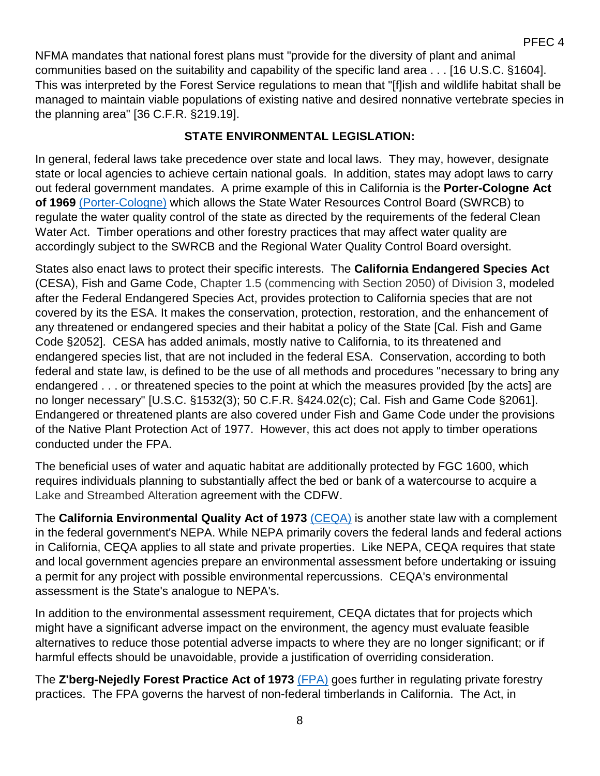NFMA mandates that national forest plans must "provide for the diversity of plant and animal communities based on the suitability and capability of the specific land area . . . [16 U.S.C. §1604]. This was interpreted by the Forest Service regulations to mean that "[f]ish and wildlife habitat shall be managed to maintain viable populations of existing native and desired nonnative vertebrate species in the planning area" [36 C.F.R. §219.19].

## **STATE ENVIRONMENTAL LEGISLATION:**

In general, federal laws take precedence over state and local laws. They may, however, designate state or local agencies to achieve certain national goals. In addition, states may adopt laws to carry out federal government mandates. A prime example of this in California is the **Porter-Cologne Act of 1969** [\(Porter-Cologne\)](https://www.waterboards.ca.gov/laws_regulations/docs/portercologne.pdf) which allows the State Water Resources Control Board (SWRCB) to regulate the water quality control of the state as directed by the requirements of the federal Clean Water Act. Timber operations and other forestry practices that may affect water quality are accordingly subject to the SWRCB and the Regional Water Quality Control Board oversight.

States also enact laws to protect their specific interests. The **California Endangered Species Act** (CESA), Fish and Game Code, Chapter 1.5 (commencing with Section 2050) of Division 3, modeled after the Federal Endangered Species Act, provides protection to California species that are not covered by its the ESA. It makes the conservation, protection, restoration, and the enhancement of any threatened or endangered species and their habitat a policy of the State [Cal. Fish and Game Code §2052]. CESA has added animals, mostly native to California, to its threatened and endangered species list, that are not included in the federal ESA. Conservation, according to both federal and state law, is defined to be the use of all methods and procedures "necessary to bring any endangered . . . or threatened species to the point at which the measures provided [by the acts] are no longer necessary" [U.S.C. §1532(3); 50 C.F.R. §424.02(c); Cal. Fish and Game Code §2061]. Endangered or threatened plants are also covered under Fish and Game Code under the provisions of the Native Plant Protection Act of 1977. However, this act does not apply to timber operations conducted under the FPA.

The beneficial uses of water and aquatic habitat are additionally protected by FGC 1600, which requires individuals planning to substantially affect the bed or bank of a watercourse to acquire a Lake and Streambed Alteration agreement with the CDFW.

The **California Environmental Quality Act of 1973** [\(CEQA\)](http://resources.ca.gov/ceqa/docs/2019_CEQA_Statutes_and_Guidelines.pdf) is another state law with a complement in the federal government's NEPA. While NEPA primarily covers the federal lands and federal actions in California, CEQA applies to all state and private properties. Like NEPA, CEQA requires that state and local government agencies prepare an environmental assessment before undertaking or issuing a permit for any project with possible environmental repercussions. CEQA's environmental assessment is the State's analogue to NEPA's.

In addition to the environmental assessment requirement, CEQA dictates that for projects which might have a significant adverse impact on the environment, the agency must evaluate feasible alternatives to reduce those potential adverse impacts to where they are no longer significant; or if harmful effects should be unavoidable, provide a justification of overriding consideration.

The **Z'berg-Nejedly Forest Practice Act of 1973** [\(FPA\)](https://bof.fire.ca.gov/media/6851/2000-fpa.pdf) goes further in regulating private forestry practices. The FPA governs the harvest of non-federal timberlands in California. The Act, in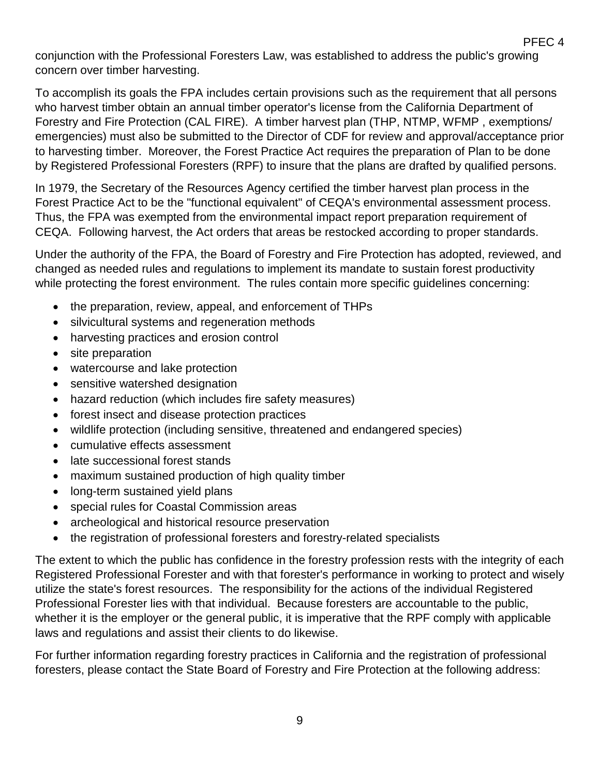conjunction with the Professional Foresters Law, was established to address the public's growing concern over timber harvesting.

To accomplish its goals the FPA includes certain provisions such as the requirement that all persons who harvest timber obtain an annual timber operator's license from the California Department of Forestry and Fire Protection (CAL FIRE). A timber harvest plan (THP, NTMP, WFMP , exemptions/ emergencies) must also be submitted to the Director of CDF for review and approval/acceptance prior to harvesting timber. Moreover, the Forest Practice Act requires the preparation of Plan to be done by Registered Professional Foresters (RPF) to insure that the plans are drafted by qualified persons.

In 1979, the Secretary of the Resources Agency certified the timber harvest plan process in the Forest Practice Act to be the "functional equivalent" of CEQA's environmental assessment process. Thus, the FPA was exempted from the environmental impact report preparation requirement of CEQA. Following harvest, the Act orders that areas be restocked according to proper standards.

Under the authority of the FPA, the Board of Forestry and Fire Protection has adopted, reviewed, and changed as needed rules and regulations to implement its mandate to sustain forest productivity while protecting the forest environment. The rules contain more specific guidelines concerning:

- the preparation, review, appeal, and enforcement of THPs
- silvicultural systems and regeneration methods
- harvesting practices and erosion control
- site preparation
- watercourse and lake protection
- sensitive watershed designation
- hazard reduction (which includes fire safety measures)
- forest insect and disease protection practices
- wildlife protection (including sensitive, threatened and endangered species)
- cumulative effects assessment
- late successional forest stands
- maximum sustained production of high quality timber
- long-term sustained yield plans
- special rules for Coastal Commission areas
- archeological and historical resource preservation
- the registration of professional foresters and forestry-related specialists

The extent to which the public has confidence in the forestry profession rests with the integrity of each Registered Professional Forester and with that forester's performance in working to protect and wisely utilize the state's forest resources. The responsibility for the actions of the individual Registered Professional Forester lies with that individual. Because foresters are accountable to the public, whether it is the employer or the general public, it is imperative that the RPF comply with applicable laws and regulations and assist their clients to do likewise.

For further information regarding forestry practices in California and the registration of professional foresters, please contact the State Board of Forestry and Fire Protection at the following address:

9